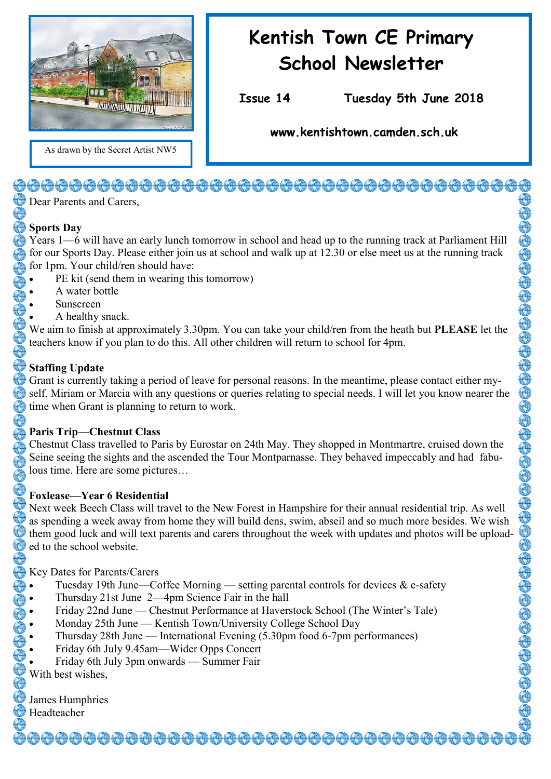

## **Kentish Town CE Primary School Newsletter**

**Issue 14 Tuesday 5th June 2018** 

**www.kentishtown.camden.sch.uk** 

As drawn by the Secret Artist NW5

### <del>\@@@@@@@@@@@@@@@@@@@@@@@@@@</del>@@@@@@

Dear Parents and Carers.

#### **Sports Day**

Years 1—6 will have an early lunch tomorrow in school and head up to the running track at Parliament Hill for our Sports Day. Please either join us at school and walk up at 12.30 or else meet us at the running track for 1pm. Your child/ren should have:

- PE kit (send them in wearing this tomorrow)
- A water bottle
- Sunscreen
- A healthy snack.

We aim to finish at approximately 3.30pm. You can take your child/ren from the heath but **PLEASE** let the teachers know if you plan to do this. All other children will return to school for 4pm.

#### **Staffing Update**

Grant is currently taking a period of leave for personal reasons. In the meantime, please contact either myself, Miriam or Marcia with any questions or queries relating to special needs. I will let you know nearer the time when Grant is planning to return to work.

#### **Paris Trip—Chestnut Class**

Chestnut Class travelled to Paris by Eurostar on 24th May. They shopped in Montmartre, cruised down the Seine seeing the sights and the ascended the Tour Montparnasse. They behaved impeccably and had fabulous time. Here are some pictures…

#### **Foxlease—Year 6 Residential**

Next week Beech Class will travel to the New Forest in Hampshire for their annual residential trip. As well as spending a week away from home they will build dens, swim, abseil and so much more besides. We wish them good luck and will text parents and carers throughout the week with updates and photos will be uploaded to the school website.

Key Dates for Parents/Carers

- Tuesday 19th June—Coffee Morning setting parental controls for devices & e-safety
- Thursday 21st June 2—4pm Science Fair in the hall
- Friday 22nd June Chestnut Performance at Haverstock School (The Winter's Tale)
- Monday 25th June Kentish Town/University College School Day
- Thursday 28th June International Evening (5.30pm food 6-7pm performances)
- Friday 6th July 9.45am—Wider Opps Concert
- Friday 6th July 3pm onwards Summer Fair

With best wishes

| James Humphries |
|-----------------|
|                 |

#### Headteacher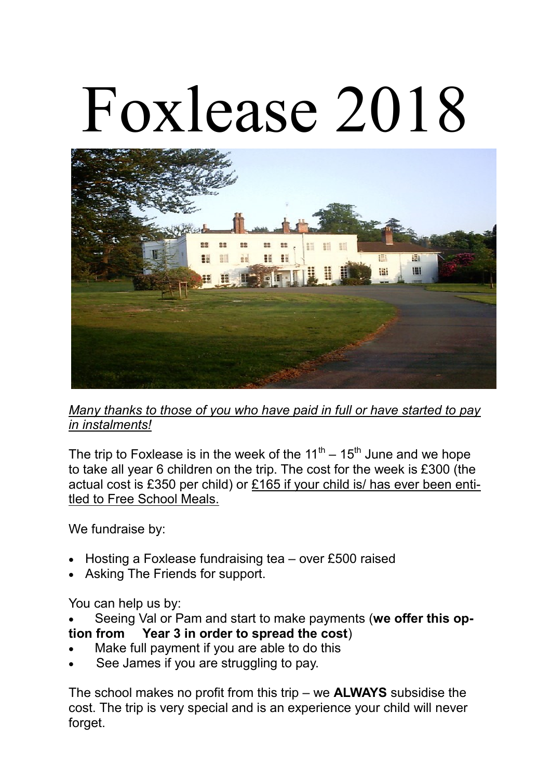# Foxlease 2018



*Many thanks to those of you who have paid in full or have started to pay in instalments!*

The trip to Foxlease is in the week of the  $11<sup>th</sup> - 15<sup>th</sup>$  June and we hope to take all year 6 children on the trip. The cost for the week is £300 (the actual cost is £350 per child) or £165 if your child is/ has ever been entitled to Free School Meals.

We fundraise by:

- Hosting a Foxlease fundraising tea over £500 raised
- Asking The Friends for support.

You can help us by:

Seeing Val or Pam and start to make payments (**we offer this op-**

#### **tion from Year 3 in order to spread the cost**)

- Make full payment if you are able to do this
- See James if you are struggling to pay.

The school makes no profit from this trip – we **ALWAYS** subsidise the cost. The trip is very special and is an experience your child will never forget.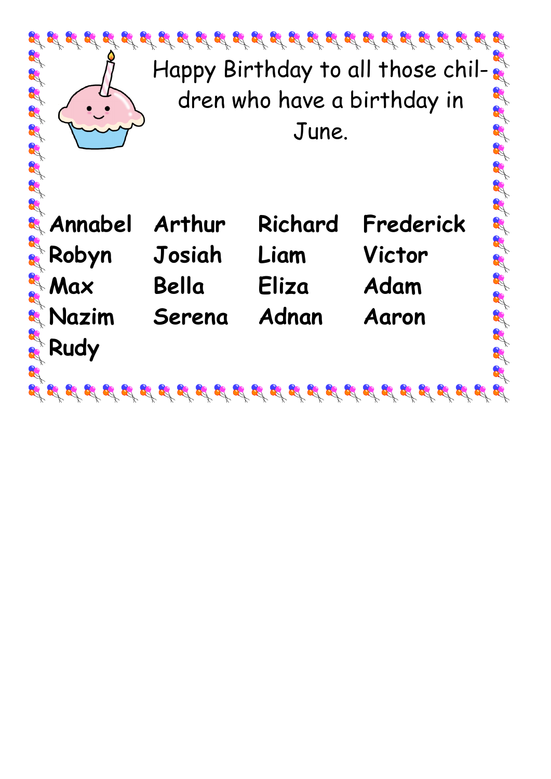| $\mathcal{L}^2 \mathcal{L}^2 \mathcal{L}^2 \mathcal{L}^2 \mathcal{L}^2 \mathcal{L}^2 \mathcal{L}^2 \mathcal{L}^2 \mathcal{L}^2 \mathcal{L}^2 \mathcal{L}^2 \mathcal{L}^2 \mathcal{L}^2 \mathcal{L}^2 \mathcal{L}^2 \mathcal{L}^2 \mathcal{L}^2 \mathcal{L}^2 \mathcal{L}^2 \mathcal{L}^2 \mathcal{L}^2 \mathcal{L}^2 \mathcal{L}^2 \mathcal{L}^2 \mathcal{L}^2 \mathcal{L}^2 \mathcal{L}^2 \mathcal{$<br>Happy Birthday to all those chil-<br>dren who have a birthday in<br>June. |                                     |                                   |                                                  |
|------------------------------------------------------------------------------------------------------------------------------------------------------------------------------------------------------------------------------------------------------------------------------------------------------------------------------------------------------------------------------------------------------------------------------------------------------------------------------------|-------------------------------------|-----------------------------------|--------------------------------------------------|
| <b>&amp; Annabel</b><br><b>Robyn</b><br><b>EA</b> Max<br>& Nazim<br>Rudy                                                                                                                                                                                                                                                                                                                                                                                                           | Arthur<br>Josiah<br>Bella<br>Serena | Richard<br>Liam<br>Eliza<br>Adnan | Et Et Et<br>Frederick<br>Victor<br>Adam<br>Aaron |